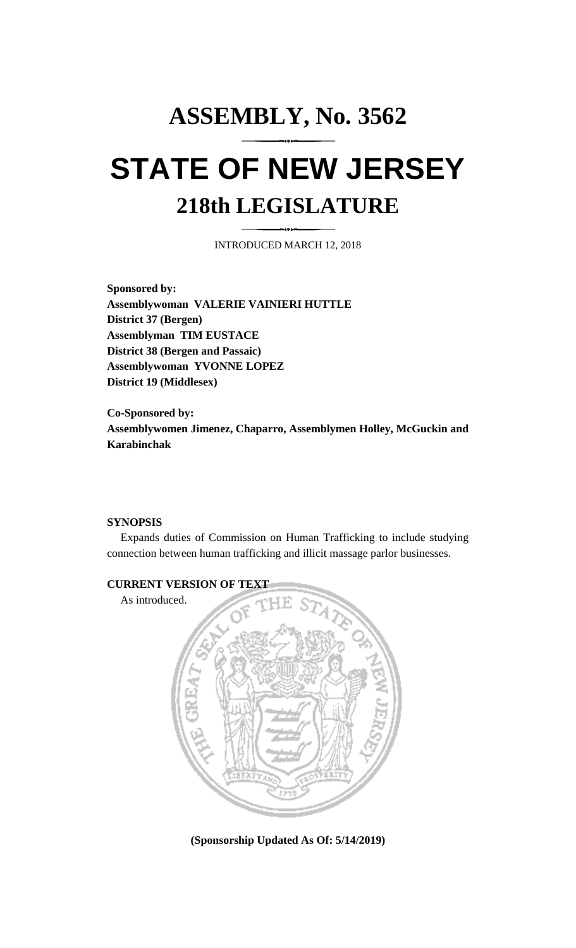## **ASSEMBLY, No. 3562 STATE OF NEW JERSEY 218th LEGISLATURE**

INTRODUCED MARCH 12, 2018

**Sponsored by: Assemblywoman VALERIE VAINIERI HUTTLE District 37 (Bergen) Assemblyman TIM EUSTACE District 38 (Bergen and Passaic) Assemblywoman YVONNE LOPEZ District 19 (Middlesex)**

**Co-Sponsored by: Assemblywomen Jimenez, Chaparro, Assemblymen Holley, McGuckin and Karabinchak**

## **SYNOPSIS**

Expands duties of Commission on Human Trafficking to include studying connection between human trafficking and illicit massage parlor businesses.



**(Sponsorship Updated As Of: 5/14/2019)**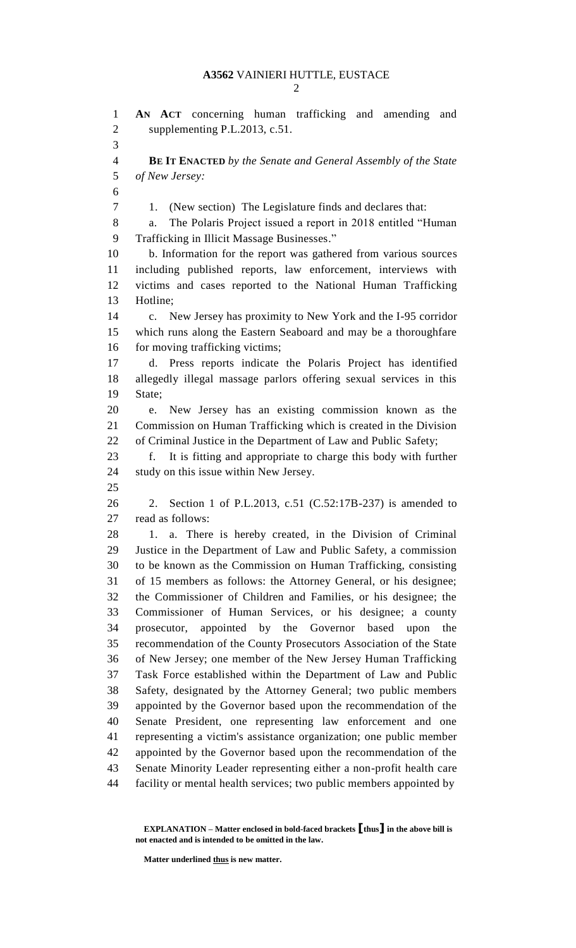**AN ACT** concerning human trafficking and amending and supplementing P.L.2013, c.51. **BE IT ENACTED** *by the Senate and General Assembly of the State of New Jersey:* 1. (New section) The Legislature finds and declares that: a. The Polaris Project issued a report in 2018 entitled "Human Trafficking in Illicit Massage Businesses." b. Information for the report was gathered from various sources including published reports, law enforcement, interviews with victims and cases reported to the National Human Trafficking Hotline; c. New Jersey has proximity to New York and the I-95 corridor which runs along the Eastern Seaboard and may be a thoroughfare 16 for moving trafficking victims; d. Press reports indicate the Polaris Project has identified allegedly illegal massage parlors offering sexual services in this State; e. New Jersey has an existing commission known as the Commission on Human Trafficking which is created in the Division of Criminal Justice in the Department of Law and Public Safety; f. It is fitting and appropriate to charge this body with further study on this issue within New Jersey. 2. Section 1 of P.L.2013, c.51 (C.52:17B-237) is amended to read as follows: 1. a. There is hereby created, in the Division of Criminal Justice in the Department of Law and Public Safety, a commission to be known as the Commission on Human Trafficking, consisting of 15 members as follows: the Attorney General, or his designee; the Commissioner of Children and Families, or his designee; the Commissioner of Human Services, or his designee; a county prosecutor, appointed by the Governor based upon the recommendation of the County Prosecutors Association of the State of New Jersey; one member of the New Jersey Human Trafficking Task Force established within the Department of Law and Public Safety, designated by the Attorney General; two public members appointed by the Governor based upon the recommendation of the Senate President, one representing law enforcement and one representing a victim's assistance organization; one public member appointed by the Governor based upon the recommendation of the Senate Minority Leader representing either a non-profit health care facility or mental health services; two public members appointed by

**Matter underlined thus is new matter.**

**EXPLANATION – Matter enclosed in bold-faced brackets [thus] in the above bill is not enacted and is intended to be omitted in the law.**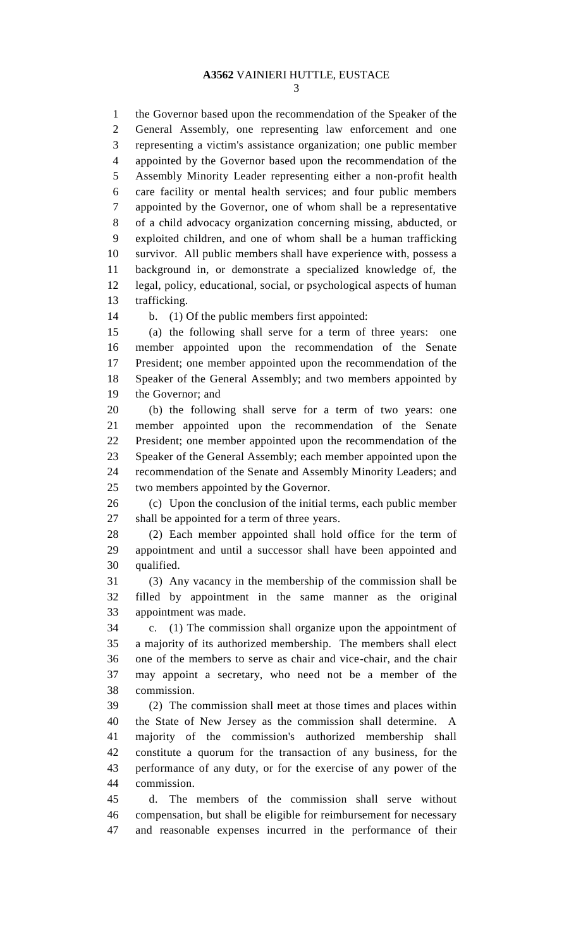## **A3562** VAINIERI HUTTLE, EUSTACE

 the Governor based upon the recommendation of the Speaker of the General Assembly, one representing law enforcement and one representing a victim's assistance organization; one public member appointed by the Governor based upon the recommendation of the Assembly Minority Leader representing either a non-profit health care facility or mental health services; and four public members appointed by the Governor, one of whom shall be a representative of a child advocacy organization concerning missing, abducted, or exploited children, and one of whom shall be a human trafficking survivor. All public members shall have experience with, possess a background in, or demonstrate a specialized knowledge of, the legal, policy, educational, social, or psychological aspects of human trafficking.

b. (1) Of the public members first appointed:

 (a) the following shall serve for a term of three years: one member appointed upon the recommendation of the Senate President; one member appointed upon the recommendation of the Speaker of the General Assembly; and two members appointed by the Governor; and

 (b) the following shall serve for a term of two years: one member appointed upon the recommendation of the Senate President; one member appointed upon the recommendation of the Speaker of the General Assembly; each member appointed upon the recommendation of the Senate and Assembly Minority Leaders; and two members appointed by the Governor.

 (c) Upon the conclusion of the initial terms, each public member shall be appointed for a term of three years.

 (2) Each member appointed shall hold office for the term of appointment and until a successor shall have been appointed and qualified.

 (3) Any vacancy in the membership of the commission shall be filled by appointment in the same manner as the original appointment was made.

 c. (1) The commission shall organize upon the appointment of a majority of its authorized membership. The members shall elect one of the members to serve as chair and vice-chair, and the chair may appoint a secretary, who need not be a member of the commission.

 (2) The commission shall meet at those times and places within the State of New Jersey as the commission shall determine. A majority of the commission's authorized membership shall constitute a quorum for the transaction of any business, for the performance of any duty, or for the exercise of any power of the commission.

 d. The members of the commission shall serve without compensation, but shall be eligible for reimbursement for necessary and reasonable expenses incurred in the performance of their